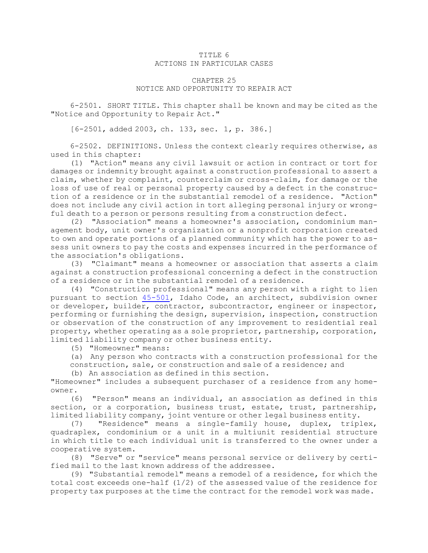## TITLE 6 ACTIONS IN PARTICULAR CASES

## CHAPTER 25 NOTICE AND OPPORTUNITY TO REPAIR ACT

6-2501. SHORT TITLE. This chapter shall be known and may be cited as the "Notice and Opportunity to Repair Act."

[6-2501, added 2003, ch. 133, sec. 1, p. 386.]

6-2502. DEFINITIONS. Unless the context clearly requires otherwise, as used in this chapter:

(1) "Action" means any civil lawsuit or action in contract or tort for damages or indemnity brought against <sup>a</sup> construction professional to assert <sup>a</sup> claim, whether by complaint, counterclaim or cross-claim, for damage or the loss of use of real or personal property caused by <sup>a</sup> defect in the construction of <sup>a</sup> residence or in the substantial remodel of <sup>a</sup> residence. "Action" does not include any civil action in tort alleging personal injury or wrongful death to <sup>a</sup> person or persons resulting from <sup>a</sup> construction defect.

(2) "Association" means <sup>a</sup> homeowner's association, condominium management body, unit owner's organization or <sup>a</sup> nonprofit corporation created to own and operate portions of <sup>a</sup> planned community which has the power to assess unit owners to pay the costs and expenses incurred in the performance of the association's obligations.

(3) "Claimant" means <sup>a</sup> homeowner or association that asserts <sup>a</sup> claim against <sup>a</sup> construction professional concerning <sup>a</sup> defect in the construction of <sup>a</sup> residence or in the substantial remodel of <sup>a</sup> residence.

(4) "Construction professional" means any person with <sup>a</sup> right to lien pursuant to section [45-501](https://legislature.idaho.gov/statutesrules/idstat/Title45/T45CH5/SECT45-501), Idaho Code, an architect, subdivision owner or developer, builder, contractor, subcontractor, engineer or inspector, performing or furnishing the design, supervision, inspection, construction or observation of the construction of any improvement to residential real property, whether operating as <sup>a</sup> sole proprietor, partnership, corporation, limited liability company or other business entity.

(5) "Homeowner" means:

(a) Any person who contracts with <sup>a</sup> construction professional for the

construction, sale, or construction and sale of <sup>a</sup> residence; and

(b) An association as defined in this section.

"Homeowner" includes <sup>a</sup> subsequent purchaser of <sup>a</sup> residence from any homeowner.

(6) "Person" means an individual, an association as defined in this section, or a corporation, business trust, estate, trust, partnership, limited liability company, joint venture or other legal business entity.

(7) "Residence" means <sup>a</sup> single-family house, duplex, triplex, quadraplex, condominium or <sup>a</sup> unit in <sup>a</sup> multiunit residential structure in which title to each individual unit is transferred to the owner under <sup>a</sup> cooperative system.

(8) "Serve" or "service" means personal service or delivery by certified mail to the last known address of the addressee.

(9) "Substantial remodel" means <sup>a</sup> remodel of <sup>a</sup> residence, for which the total cost exceeds one-half (1/2) of the assessed value of the residence for property tax purposes at the time the contract for the remodel work was made.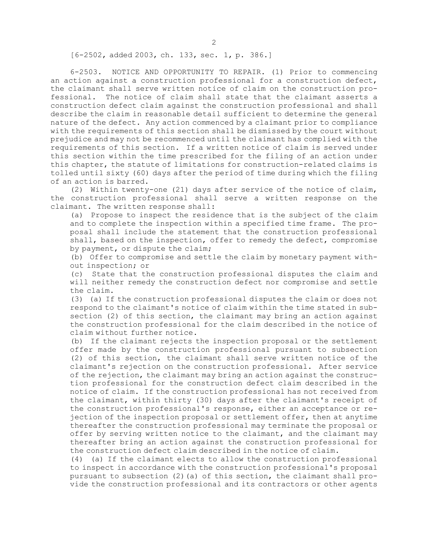[6-2502, added 2003, ch. 133, sec. 1, p. 386.]

6-2503. NOTICE AND OPPORTUNITY TO REPAIR. (1) Prior to commencing an action against <sup>a</sup> construction professional for <sup>a</sup> construction defect, the claimant shall serve written notice of claim on the construction professional. The notice of claim shall state that the claimant asserts <sup>a</sup> construction defect claim against the construction professional and shall describe the claim in reasonable detail sufficient to determine the general nature of the defect. Any action commenced by <sup>a</sup> claimant prior to compliance with the requirements of this section shall be dismissed by the court without prejudice and may not be recommenced until the claimant has complied with the requirements of this section. If <sup>a</sup> written notice of claim is served under this section within the time prescribed for the filing of an action under this chapter, the statute of limitations for construction-related claims is tolled until sixty (60) days after the period of time during which the filing of an action is barred.

(2) Within twenty-one (21) days after service of the notice of claim, the construction professional shall serve <sup>a</sup> written response on the claimant. The written response shall:

(a) Propose to inspect the residence that is the subject of the claim and to complete the inspection within <sup>a</sup> specified time frame. The proposal shall include the statement that the construction professional shall, based on the inspection, offer to remedy the defect, compromise by payment, or dispute the claim;

(b) Offer to compromise and settle the claim by monetary payment without inspection; or

(c) State that the construction professional disputes the claim and will neither remedy the construction defect nor compromise and settle the claim.

(3) (a) If the construction professional disputes the claim or does not respond to the claimant's notice of claim within the time stated in subsection (2) of this section, the claimant may bring an action against the construction professional for the claim described in the notice of claim without further notice.

(b) If the claimant rejects the inspection proposal or the settlement offer made by the construction professional pursuant to subsection (2) of this section, the claimant shall serve written notice of the claimant's rejection on the construction professional. After service of the rejection, the claimant may bring an action against the construction professional for the construction defect claim described in the notice of claim. If the construction professional has not received from the claimant, within thirty (30) days after the claimant's receipt of the construction professional's response, either an acceptance or rejection of the inspection proposal or settlement offer, then at anytime thereafter the construction professional may terminate the proposal or offer by serving written notice to the claimant, and the claimant may thereafter bring an action against the construction professional for the construction defect claim described in the notice of claim.

(4) (a) If the claimant elects to allow the construction professional to inspect in accordance with the construction professional's proposal pursuant to subsection (2)(a) of this section, the claimant shall provide the construction professional and its contractors or other agents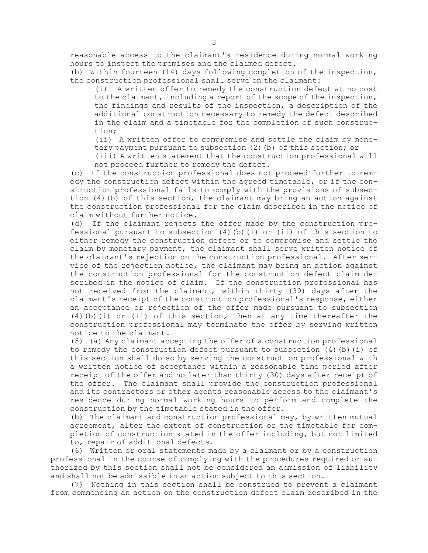reasonable access to the claimant's residence during normal working hours to inspect the premises and the claimed defect.

(b) Within fourteen (14) days following completion of the inspection, the construction professional shall serve on the claimant:

(i) <sup>A</sup> written offer to remedy the construction defect at no cost to the claimant, including <sup>a</sup> report of the scope of the inspection, the findings and results of the inspection, <sup>a</sup> description of the additional construction necessary to remedy the defect described in the claim and <sup>a</sup> timetable for the completion of such construction;

(ii) <sup>A</sup> written offer to compromise and settle the claim by monetary payment pursuant to subsection (2)(b) of this section; or

(iii) <sup>A</sup> written statement that the construction professional will not proceed further to remedy the defect.

(c) If the construction professional does not proceed further to remedy the construction defect within the agreed timetable, or if the construction professional fails to comply with the provisions of subsection (4)(b) of this section, the claimant may bring an action against the construction professional for the claim described in the notice of claim without further notice.

(d) If the claimant rejects the offer made by the construction professional pursuant to subsection (4)(b)(i) or (ii) of this section to either remedy the construction defect or to compromise and settle the claim by monetary payment, the claimant shall serve written notice of the claimant's rejection on the construction professional. After service of the rejection notice, the claimant may bring an action against the construction professional for the construction defect claim described in the notice of claim. If the construction professional has not received from the claimant, within thirty (30) days after the claimant's receipt of the construction professional's response, either an acceptance or rejection of the offer made pursuant to subsection  $(4)$  (b) (i) or (ii) of this section, then at any time thereafter the construction professional may terminate the offer by serving written notice to the claimant.

(5) (a) Any claimant accepting the offer of <sup>a</sup> construction professional to remedy the construction defect pursuant to subsection (4)(b)(i) of this section shall do so by serving the construction professional with <sup>a</sup> written notice of acceptance within <sup>a</sup> reasonable time period after receipt of the offer and no later than thirty (30) days after receipt of the offer. The claimant shall provide the construction professional and its contractors or other agents reasonable access to the claimant's residence during normal working hours to perform and complete the construction by the timetable stated in the offer.

(b) The claimant and construction professional may, by written mutual agreement, alter the extent of construction or the timetable for completion of construction stated in the offer including, but not limited to, repair of additional defects.

(6) Written or oral statements made by <sup>a</sup> claimant or by <sup>a</sup> construction professional in the course of complying with the procedures required or authorized by this section shall not be considered an admission of liability and shall not be admissible in an action subject to this section.

(7) Nothing in this section shall be construed to prevent <sup>a</sup> claimant from commencing an action on the construction defect claim described in the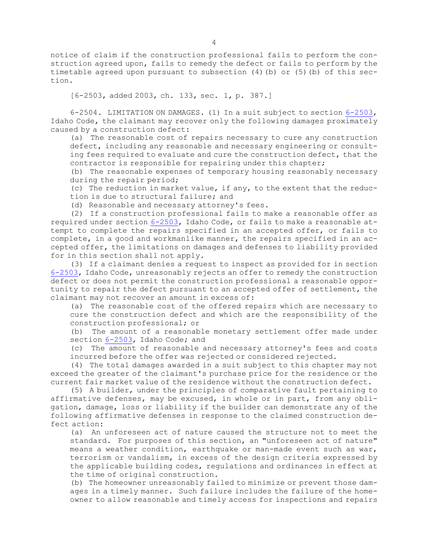notice of claim if the construction professional fails to perform the construction agreed upon, fails to remedy the defect or fails to perform by the timetable agreed upon pursuant to subsection (4)(b) or (5)(b) of this section.

[6-2503, added 2003, ch. 133, sec. 1, p. 387.]

6-2504. LIMITATION ON DAMAGES. (1) In <sup>a</sup> suit subject to section [6-2503](https://legislature.idaho.gov/statutesrules/idstat/Title6/T6CH25/SECT6-2503), Idaho Code, the claimant may recover only the following damages proximately caused by <sup>a</sup> construction defect:

(a) The reasonable cost of repairs necessary to cure any construction defect, including any reasonable and necessary engineering or consulting fees required to evaluate and cure the construction defect, that the contractor is responsible for repairing under this chapter;

(b) The reasonable expenses of temporary housing reasonably necessary during the repair period;

(c) The reduction in market value, if any, to the extent that the reduction is due to structural failure; and

(d) Reasonable and necessary attorney's fees.

(2) If <sup>a</sup> construction professional fails to make <sup>a</sup> reasonable offer as required under section [6-2503](https://legislature.idaho.gov/statutesrules/idstat/Title6/T6CH25/SECT6-2503), Idaho Code, or fails to make <sup>a</sup> reasonable attempt to complete the repairs specified in an accepted offer, or fails to complete, in <sup>a</sup> good and workmanlike manner, the repairs specified in an accepted offer, the limitations on damages and defenses to liability provided for in this section shall not apply.

(3) If <sup>a</sup> claimant denies <sup>a</sup> request to inspect as provided for in section [6-2503](https://legislature.idaho.gov/statutesrules/idstat/Title6/T6CH25/SECT6-2503), Idaho Code, unreasonably rejects an offer to remedy the construction defect or does not permit the construction professional <sup>a</sup> reasonable opportunity to repair the defect pursuant to an accepted offer of settlement, the claimant may not recover an amount in excess of:

(a) The reasonable cost of the offered repairs which are necessary to cure the construction defect and which are the responsibility of the construction professional; or

(b) The amount of <sup>a</sup> reasonable monetary settlement offer made under section [6-2503](https://legislature.idaho.gov/statutesrules/idstat/Title6/T6CH25/SECT6-2503), Idaho Code; and

(c) The amount of reasonable and necessary attorney's fees and costs incurred before the offer was rejected or considered rejected.

(4) The total damages awarded in <sup>a</sup> suit subject to this chapter may not exceed the greater of the claimant's purchase price for the residence or the current fair market value of the residence without the construction defect.

(5) <sup>A</sup> builder, under the principles of comparative fault pertaining to affirmative defenses, may be excused, in whole or in part, from any obligation, damage, loss or liability if the builder can demonstrate any of the following affirmative defenses in response to the claimed construction defect action:

(a) An unforeseen act of nature caused the structure not to meet the standard. For purposes of this section, an "unforeseen act of nature" means <sup>a</sup> weather condition, earthquake or man-made event such as war, terrorism or vandalism, in excess of the design criteria expressed by the applicable building codes, regulations and ordinances in effect at the time of original construction.

(b) The homeowner unreasonably failed to minimize or prevent those damages in <sup>a</sup> timely manner. Such failure includes the failure of the homeowner to allow reasonable and timely access for inspections and repairs